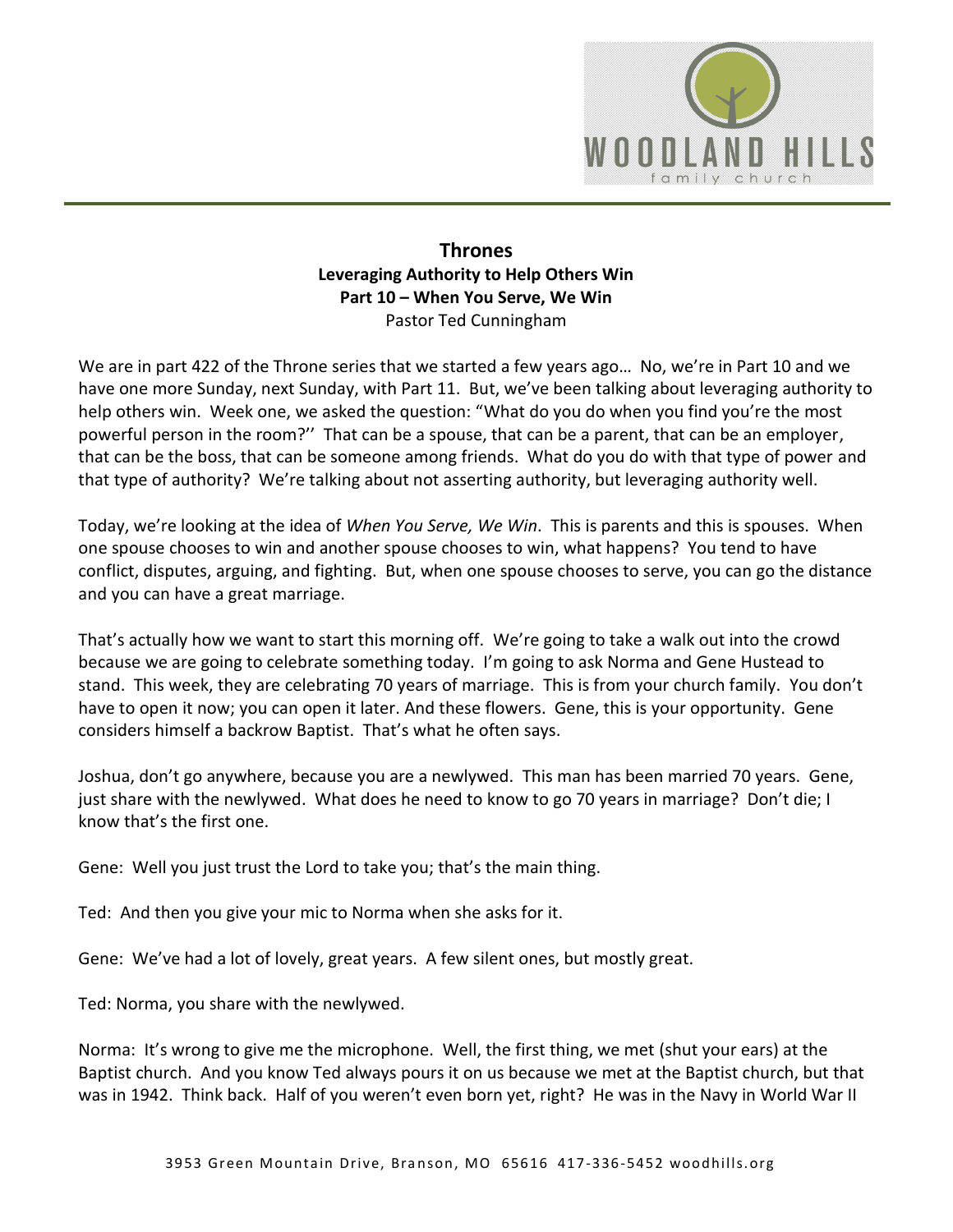

## **Thrones Leveraging Authority to Help Others Win Part 10 – When You Serve, We Win**  Pastor Ted Cunningham

We are in part 422 of the Throne series that we started a few years ago... No, we're in Part 10 and we have one more Sunday, next Sunday, with Part 11. But, we've been talking about leveraging authority to help others win. Week one, we asked the question: "What do you do when you find you're the most powerful person in the room?'' That can be a spouse, that can be a parent, that can be an employer, that can be the boss, that can be someone among friends. What do you do with that type of power and that type of authority? We're talking about not asserting authority, but leveraging authority well.

Today, we're looking at the idea of *When You Serve, We Win*. This is parents and this is spouses. When one spouse chooses to win and another spouse chooses to win, what happens? You tend to have conflict, disputes, arguing, and fighting. But, when one spouse chooses to serve, you can go the distance and you can have a great marriage.

That's actually how we want to start this morning off. We're going to take a walk out into the crowd because we are going to celebrate something today. I'm going to ask Norma and Gene Hustead to stand. This week, they are celebrating 70 years of marriage. This is from your church family. You don't have to open it now; you can open it later. And these flowers. Gene, this is your opportunity. Gene considers himself a backrow Baptist. That's what he often says.

Joshua, don't go anywhere, because you are a newlywed. This man has been married 70 years. Gene, just share with the newlywed. What does he need to know to go 70 years in marriage? Don't die; I know that's the first one.

Gene: Well you just trust the Lord to take you; that's the main thing.

Ted: And then you give your mic to Norma when she asks for it.

Gene: We've had a lot of lovely, great years. A few silent ones, but mostly great.

Ted: Norma, you share with the newlywed.

Norma: It's wrong to give me the microphone. Well, the first thing, we met (shut your ears) at the Baptist church. And you know Ted always pours it on us because we met at the Baptist church, but that was in 1942. Think back. Half of you weren't even born yet, right? He was in the Navy in World War II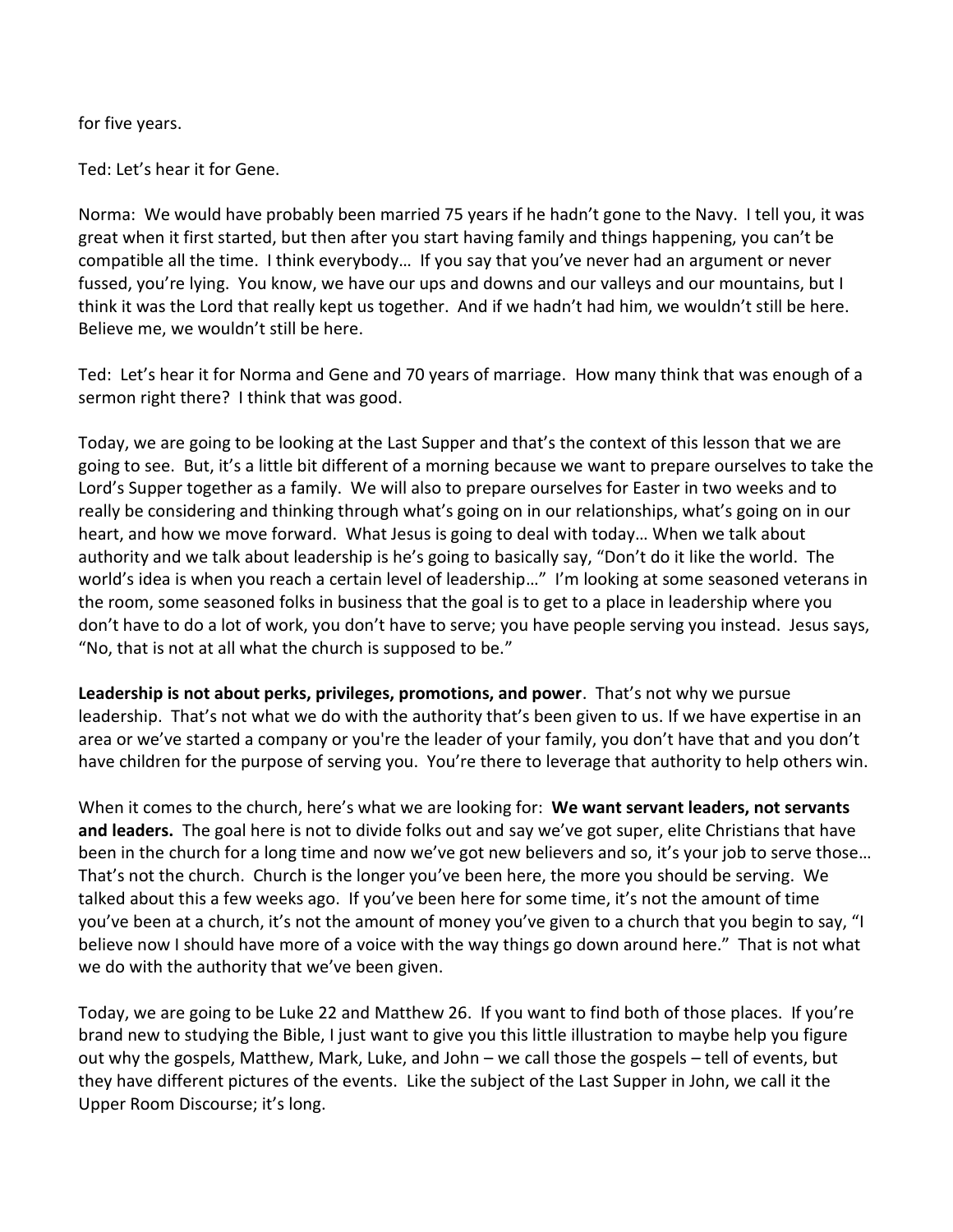for five years.

Ted: Let's hear it for Gene.

Norma: We would have probably been married 75 years if he hadn't gone to the Navy. I tell you, it was great when it first started, but then after you start having family and things happening, you can't be compatible all the time. I think everybody… If you say that you've never had an argument or never fussed, you're lying. You know, we have our ups and downs and our valleys and our mountains, but I think it was the Lord that really kept us together. And if we hadn't had him, we wouldn't still be here. Believe me, we wouldn't still be here.

Ted: Let's hear it for Norma and Gene and 70 years of marriage. How many think that was enough of a sermon right there? I think that was good.

Today, we are going to be looking at the Last Supper and that's the context of this lesson that we are going to see. But, it's a little bit different of a morning because we want to prepare ourselves to take the Lord's Supper together as a family. We will also to prepare ourselves for Easter in two weeks and to really be considering and thinking through what's going on in our relationships, what's going on in our heart, and how we move forward. What Jesus is going to deal with today… When we talk about authority and we talk about leadership is he's going to basically say, "Don't do it like the world. The world's idea is when you reach a certain level of leadership…" I'm looking at some seasoned veterans in the room, some seasoned folks in business that the goal is to get to a place in leadership where you don't have to do a lot of work, you don't have to serve; you have people serving you instead. Jesus says, "No, that is not at all what the church is supposed to be."

**Leadership is not about perks, privileges, promotions, and power**. That's not why we pursue leadership. That's not what we do with the authority that's been given to us. If we have expertise in an area or we've started a company or you're the leader of your family, you don't have that and you don't have children for the purpose of serving you. You're there to leverage that authority to help others win.

When it comes to the church, here's what we are looking for: **We want servant leaders, not servants and leaders.** The goal here is not to divide folks out and say we've got super, elite Christians that have been in the church for a long time and now we've got new believers and so, it's your job to serve those… That's not the church. Church is the longer you've been here, the more you should be serving. We talked about this a few weeks ago. If you've been here for some time, it's not the amount of time you've been at a church, it's not the amount of money you've given to a church that you begin to say, "I believe now I should have more of a voice with the way things go down around here." That is not what we do with the authority that we've been given.

Today, we are going to be Luke 22 and Matthew 26. If you want to find both of those places. If you're brand new to studying the Bible, I just want to give you this little illustration to maybe help you figure out why the gospels, Matthew, Mark, Luke, and John – we call those the gospels – tell of events, but they have different pictures of the events. Like the subject of the Last Supper in John, we call it the Upper Room Discourse; it's long.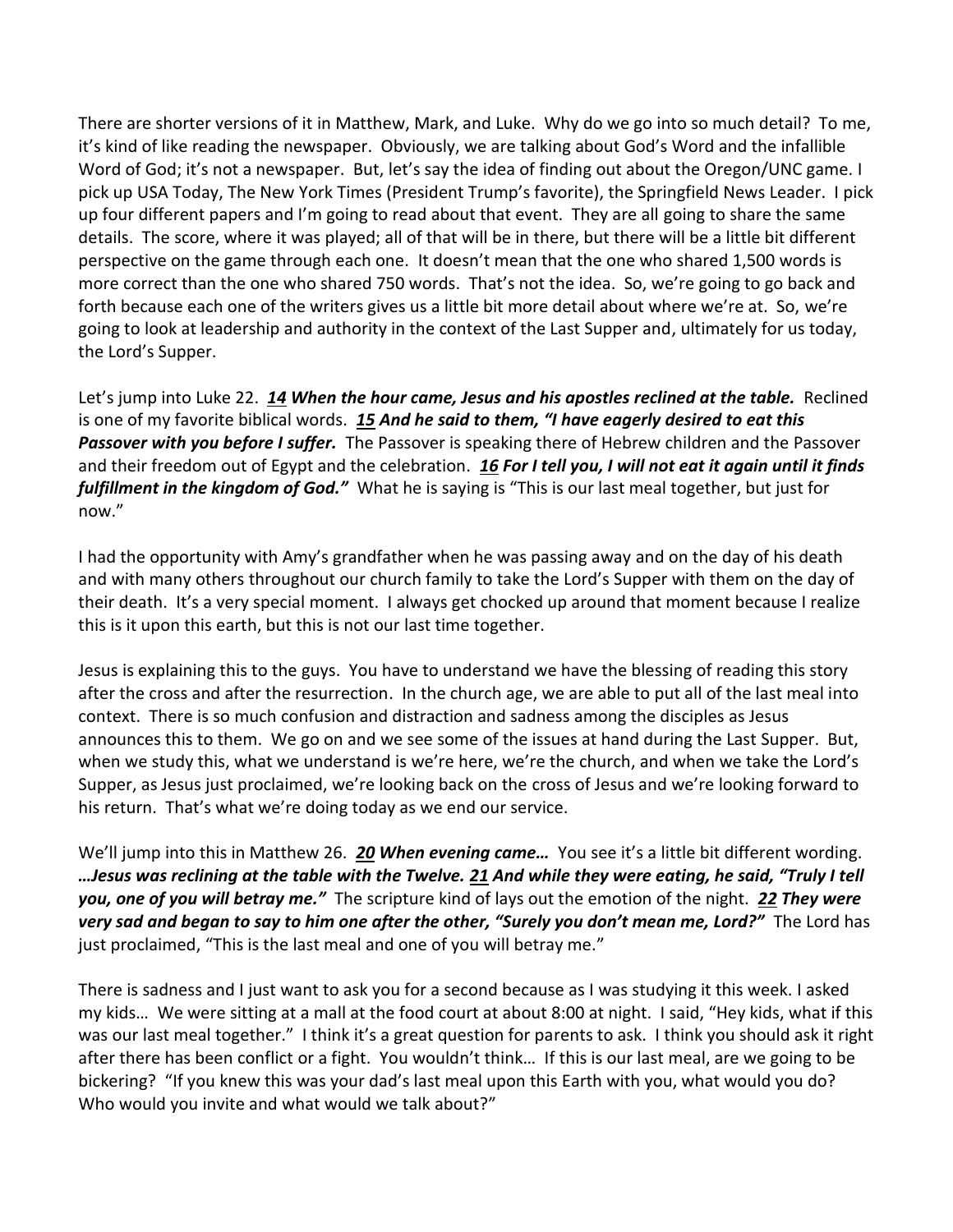There are shorter versions of it in Matthew, Mark, and Luke. Why do we go into so much detail? To me, it's kind of like reading the newspaper. Obviously, we are talking about God's Word and the infallible Word of God; it's not a newspaper. But, let's say the idea of finding out about the Oregon/UNC game. I pick up USA Today, The New York Times (President Trump's favorite), the Springfield News Leader. I pick up four different papers and I'm going to read about that event. They are all going to share the same details. The score, where it was played; all of that will be in there, but there will be a little bit different perspective on the game through each one. It doesn't mean that the one who shared 1,500 words is more correct than the one who shared 750 words. That's not the idea. So, we're going to go back and forth because each one of the writers gives us a little bit more detail about where we're at. So, we're going to look at leadership and authority in the context of the Last Supper and, ultimately for us today, the Lord's Supper.

Let's jump into Luke 22. *[14](http://www.studylight.org/desk/?q=lu%2022:14&t1=en_niv&sr=1) When the hour came, Jesus and his apostles reclined at the table.* Reclined is one of my favorite biblical words. *[15](http://www.studylight.org/desk/?q=lu%2022:15&t1=en_niv&sr=1) And he said to them, "I have eagerly desired to eat this Passover with you before I suffer.* The Passover is speaking there of Hebrew children and the Passover and their freedom out of Egypt and the celebration. *[16](http://www.studylight.org/desk/?q=lu%2022:16&t1=en_niv&sr=1) For I tell you, I will not eat it again until it finds fulfillment in the kingdom of God."* What he is saying is "This is our last meal together, but just for now."

I had the opportunity with Amy's grandfather when he was passing away and on the day of his death and with many others throughout our church family to take the Lord's Supper with them on the day of their death. It's a very special moment. I always get chocked up around that moment because I realize this is it upon this earth, but this is not our last time together.

Jesus is explaining this to the guys. You have to understand we have the blessing of reading this story after the cross and after the resurrection. In the church age, we are able to put all of the last meal into context. There is so much confusion and distraction and sadness among the disciples as Jesus announces this to them. We go on and we see some of the issues at hand during the Last Supper. But, when we study this, what we understand is we're here, we're the church, and when we take the Lord's Supper, as Jesus just proclaimed, we're looking back on the cross of Jesus and we're looking forward to his return. That's what we're doing today as we end our service.

We'll jump into this in Matthew 26. *[20](http://www.studylight.org/desk/?q=mt%2026:20&t1=en_niv&sr=1) When evening came…* You see it's a little bit different wording. *…Jesus was reclining at the table with the Twelve. [21](http://www.studylight.org/desk/?q=mt%2026:21&t1=en_niv&sr=1) And while they were eating, he said, "Truly I tell you, one of you will betray me."* The scripture kind of lays out the emotion of the night. *[22](http://www.studylight.org/desk/?q=mt%2026:22&t1=en_niv&sr=1) They were very sad and began to say to him one after the other, "Surely you don't mean me, Lord?"* The Lord has just proclaimed, "This is the last meal and one of you will betray me."

There is sadness and I just want to ask you for a second because as I was studying it this week. I asked my kids… We were sitting at a mall at the food court at about 8:00 at night. I said, "Hey kids, what if this was our last meal together." I think it's a great question for parents to ask. I think you should ask it right after there has been conflict or a fight. You wouldn't think… If this is our last meal, are we going to be bickering? "If you knew this was your dad's last meal upon this Earth with you, what would you do? Who would you invite and what would we talk about?"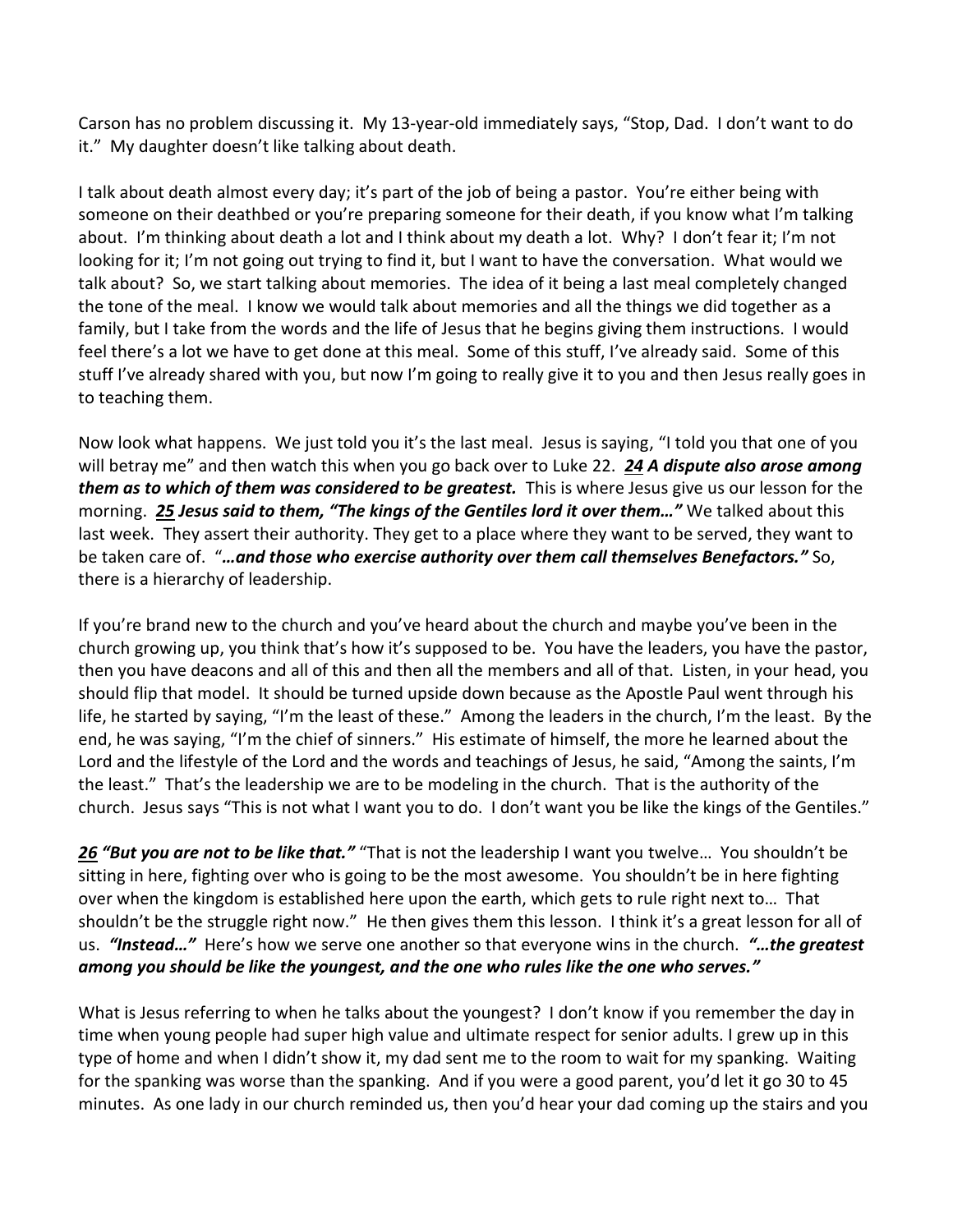Carson has no problem discussing it. My 13-year-old immediately says, "Stop, Dad. I don't want to do it." My daughter doesn't like talking about death.

I talk about death almost every day; it's part of the job of being a pastor. You're either being with someone on their deathbed or you're preparing someone for their death, if you know what I'm talking about. I'm thinking about death a lot and I think about my death a lot. Why? I don't fear it; I'm not looking for it; I'm not going out trying to find it, but I want to have the conversation. What would we talk about? So, we start talking about memories. The idea of it being a last meal completely changed the tone of the meal. I know we would talk about memories and all the things we did together as a family, but I take from the words and the life of Jesus that he begins giving them instructions. I would feel there's a lot we have to get done at this meal. Some of this stuff, I've already said. Some of this stuff I've already shared with you, but now I'm going to really give it to you and then Jesus really goes in to teaching them.

Now look what happens. We just told you it's the last meal. Jesus is saying, "I told you that one of you will betray me" and then watch this when you go back over to Luke 22. *[24](http://www.studylight.org/desk/?q=lu%2022:24&t1=en_niv&sr=1) A dispute also arose among them as to which of them was considered to be greatest.* This is where Jesus give us our lesson for the morning. *[25](http://www.studylight.org/desk/?q=lu%2022:25&t1=en_niv&sr=1) Jesus said to them, "The kings of the Gentiles lord it over them…"* We talked about this last week. They assert their authority. They get to a place where they want to be served, they want to be taken care of. "*…and those who exercise authority over them call themselves Benefactors."* So, there is a hierarchy of leadership.

If you're brand new to the church and you've heard about the church and maybe you've been in the church growing up, you think that's how it's supposed to be. You have the leaders, you have the pastor, then you have deacons and all of this and then all the members and all of that. Listen, in your head, you should flip that model. It should be turned upside down because as the Apostle Paul went through his life, he started by saying, "I'm the least of these." Among the leaders in the church, I'm the least. By the end, he was saying, "I'm the chief of sinners." His estimate of himself, the more he learned about the Lord and the lifestyle of the Lord and the words and teachings of Jesus, he said, "Among the saints, I'm the least." That's the leadership we are to be modeling in the church. That is the authority of the church. Jesus says "This is not what I want you to do. I don't want you be like the kings of the Gentiles."

*[26](http://www.studylight.org/desk/?q=lu%2022:26&t1=en_niv&sr=1) "But you are not to be like that."* "That is not the leadership I want you twelve… You shouldn't be sitting in here, fighting over who is going to be the most awesome. You shouldn't be in here fighting over when the kingdom is established here upon the earth, which gets to rule right next to… That shouldn't be the struggle right now." He then gives them this lesson. I think it's a great lesson for all of us. *"Instead…"* Here's how we serve one another so that everyone wins in the church. *"…the greatest among you should be like the youngest, and the one who rules like the one who serves."* 

What is Jesus referring to when he talks about the youngest? I don't know if you remember the day in time when young people had super high value and ultimate respect for senior adults. I grew up in this type of home and when I didn't show it, my dad sent me to the room to wait for my spanking. Waiting for the spanking was worse than the spanking. And if you were a good parent, you'd let it go 30 to 45 minutes. As one lady in our church reminded us, then you'd hear your dad coming up the stairs and you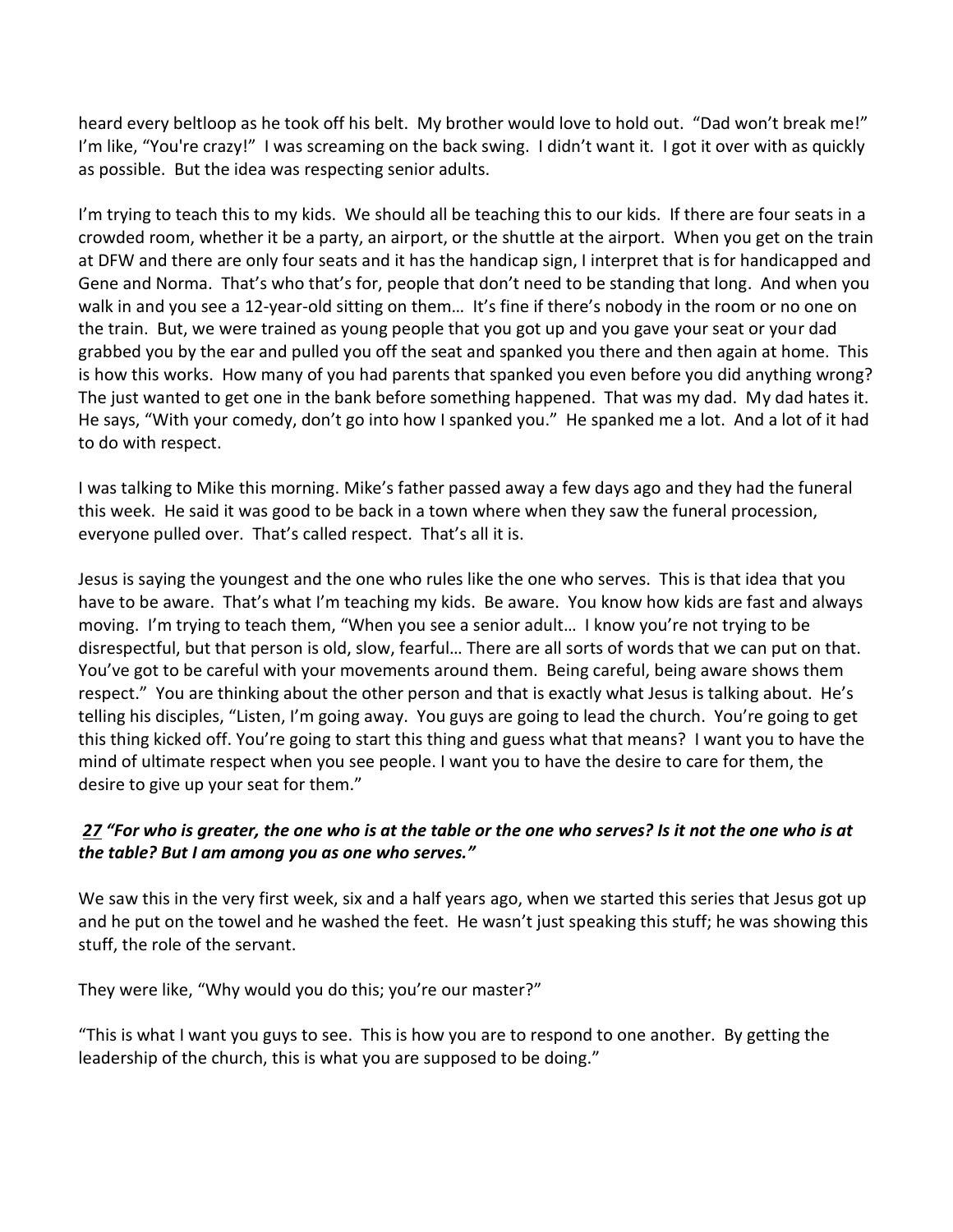heard every beltloop as he took off his belt. My brother would love to hold out. "Dad won't break me!" I'm like, "You're crazy!" I was screaming on the back swing. I didn't want it. I got it over with as quickly as possible. But the idea was respecting senior adults.

I'm trying to teach this to my kids. We should all be teaching this to our kids. If there are four seats in a crowded room, whether it be a party, an airport, or the shuttle at the airport. When you get on the train at DFW and there are only four seats and it has the handicap sign, I interpret that is for handicapped and Gene and Norma. That's who that's for, people that don't need to be standing that long. And when you walk in and you see a 12-year-old sitting on them... It's fine if there's nobody in the room or no one on the train. But, we were trained as young people that you got up and you gave your seat or your dad grabbed you by the ear and pulled you off the seat and spanked you there and then again at home. This is how this works. How many of you had parents that spanked you even before you did anything wrong? The just wanted to get one in the bank before something happened. That was my dad. My dad hates it. He says, "With your comedy, don't go into how I spanked you." He spanked me a lot. And a lot of it had to do with respect.

I was talking to Mike this morning. Mike's father passed away a few days ago and they had the funeral this week. He said it was good to be back in a town where when they saw the funeral procession, everyone pulled over. That's called respect. That's all it is.

Jesus is saying the youngest and the one who rules like the one who serves. This is that idea that you have to be aware. That's what I'm teaching my kids. Be aware. You know how kids are fast and always moving. I'm trying to teach them, "When you see a senior adult… I know you're not trying to be disrespectful, but that person is old, slow, fearful… There are all sorts of words that we can put on that. You've got to be careful with your movements around them. Being careful, being aware shows them respect." You are thinking about the other person and that is exactly what Jesus is talking about. He's telling his disciples, "Listen, I'm going away. You guys are going to lead the church. You're going to get this thing kicked off. You're going to start this thing and guess what that means? I want you to have the mind of ultimate respect when you see people. I want you to have the desire to care for them, the desire to give up your seat for them."

## *[27](http://www.studylight.org/desk/?q=lu%2022:27&t1=en_niv&sr=1) "For who is greater, the one who is at the table or the one who serves? Is it not the one who is at the table? But I am among you as one who serves."*

We saw this in the very first week, six and a half years ago, when we started this series that Jesus got up and he put on the towel and he washed the feet. He wasn't just speaking this stuff; he was showing this stuff, the role of the servant.

They were like, "Why would you do this; you're our master?"

"This is what I want you guys to see. This is how you are to respond to one another. By getting the leadership of the church, this is what you are supposed to be doing."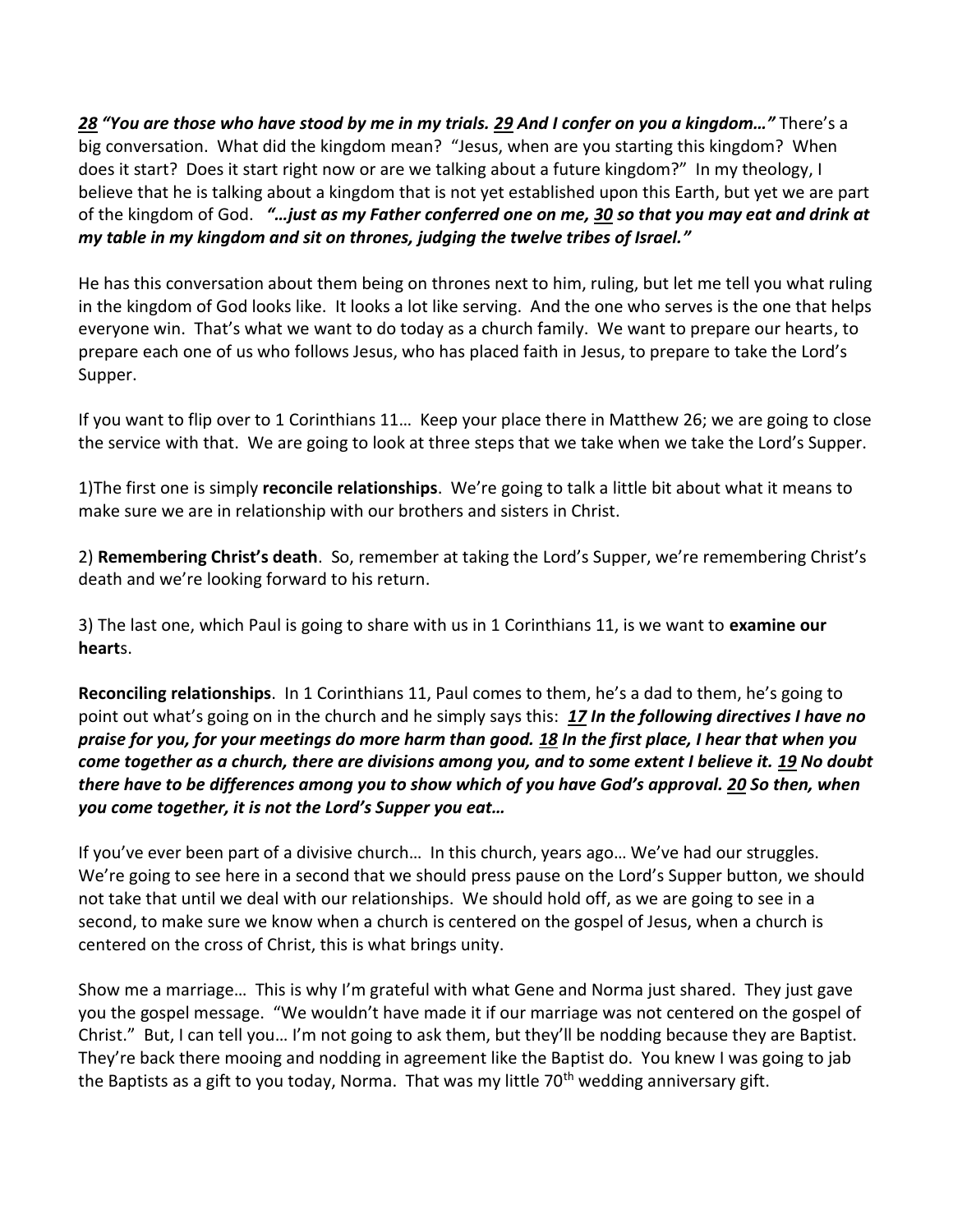*[28](http://www.studylight.org/desk/?q=lu%2022:28&t1=en_niv&sr=1) "You are those who have stood by me in my trials. [29](http://www.studylight.org/desk/?q=lu%2022:29&t1=en_niv&sr=1) And I confer on you a kingdom…"* There's a big conversation. What did the kingdom mean? "Jesus, when are you starting this kingdom? When does it start? Does it start right now or are we talking about a future kingdom?" In my theology, I believe that he is talking about a kingdom that is not yet established upon this Earth, but yet we are part of the kingdom of God. *"…just as my Father conferred one on me, [30](http://www.studylight.org/desk/?q=lu%2022:30&t1=en_niv&sr=1) so that you may eat and drink at my table in my kingdom and sit on thrones, judging the twelve tribes of Israel."*

He has this conversation about them being on thrones next to him, ruling, but let me tell you what ruling in the kingdom of God looks like. It looks a lot like serving. And the one who serves is the one that helps everyone win. That's what we want to do today as a church family. We want to prepare our hearts, to prepare each one of us who follows Jesus, who has placed faith in Jesus, to prepare to take the Lord's Supper.

If you want to flip over to 1 Corinthians 11… Keep your place there in Matthew 26; we are going to close the service with that. We are going to look at three steps that we take when we take the Lord's Supper.

1)The first one is simply **reconcile relationships**. We're going to talk a little bit about what it means to make sure we are in relationship with our brothers and sisters in Christ.

2) **Remembering Christ's death**. So, remember at taking the Lord's Supper, we're remembering Christ's death and we're looking forward to his return.

3) The last one, which Paul is going to share with us in 1 Corinthians 11, is we want to **examine our heart**s.

**Reconciling relationships**. In 1 Corinthians 11, Paul comes to them, he's a dad to them, he's going to point out what's going on in the church and he simply says this: *[17](http://www.studylight.org/desk/?q=1co%2011:17&t1=en_niv&sr=1) In the following directives I have no praise for you, for your meetings do more harm than good. [18](http://www.studylight.org/desk/?q=1co%2011:18&t1=en_niv&sr=1) In the first place, I hear that when you come together as a church, there are divisions among you, and to some extent I believe it. [19](http://www.studylight.org/desk/?q=1co%2011:19&t1=en_niv&sr=1) No doubt there have to be differences among you to show which of you have God's approval. [20](http://www.studylight.org/desk/?q=1co%2011:20&t1=en_niv&sr=1) So then, when you come together, it is not the Lord's Supper you eat…*

If you've ever been part of a divisive church… In this church, years ago… We've had our struggles. We're going to see here in a second that we should press pause on the Lord's Supper button, we should not take that until we deal with our relationships. We should hold off, as we are going to see in a second, to make sure we know when a church is centered on the gospel of Jesus, when a church is centered on the cross of Christ, this is what brings unity.

Show me a marriage… This is why I'm grateful with what Gene and Norma just shared. They just gave you the gospel message. "We wouldn't have made it if our marriage was not centered on the gospel of Christ." But, I can tell you… I'm not going to ask them, but they'll be nodding because they are Baptist. They're back there mooing and nodding in agreement like the Baptist do. You knew I was going to jab the Baptists as a gift to you today, Norma. That was my little 70<sup>th</sup> wedding anniversary gift.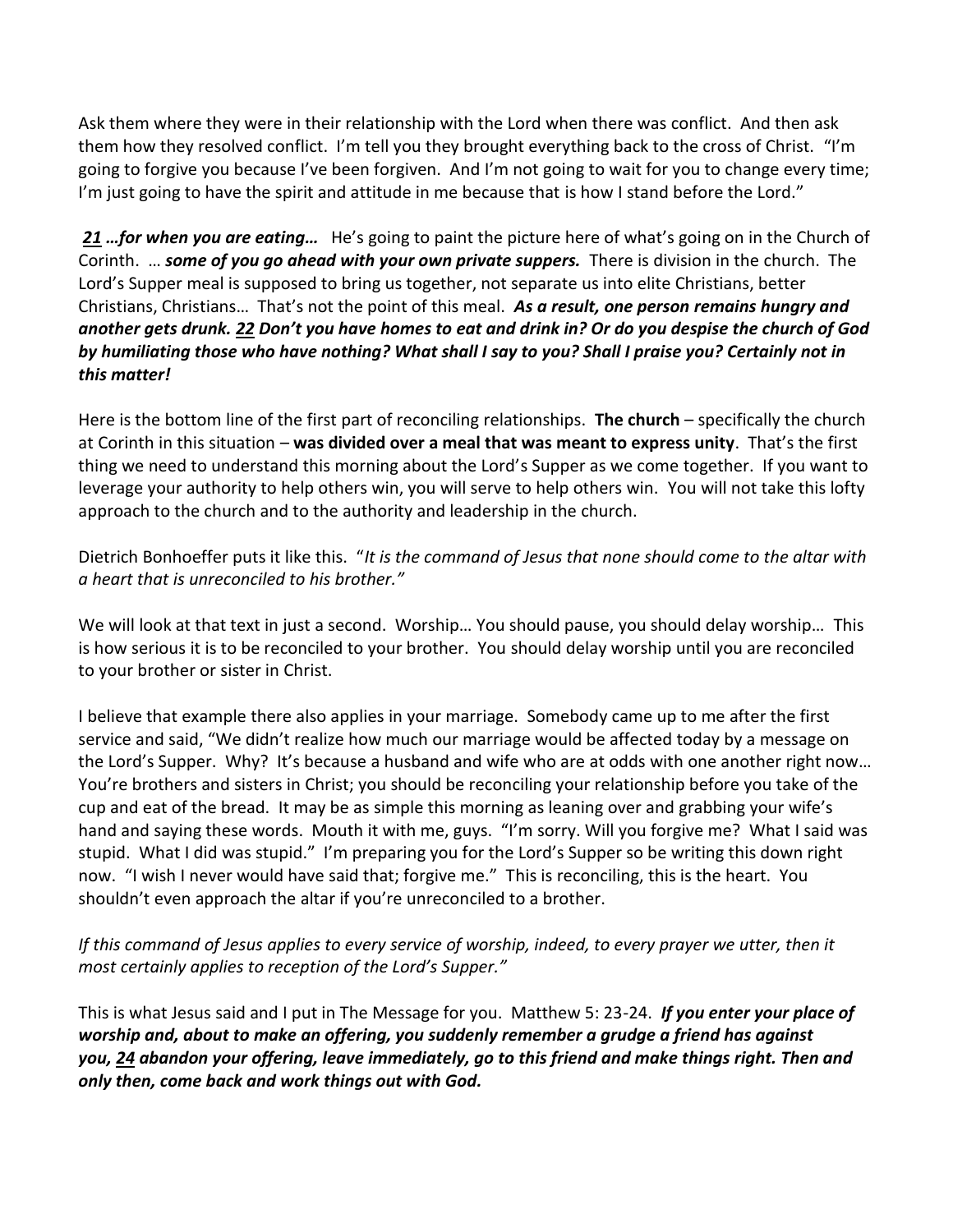Ask them where they were in their relationship with the Lord when there was conflict. And then ask them how they resolved conflict. I'm tell you they brought everything back to the cross of Christ. "I'm going to forgive you because I've been forgiven. And I'm not going to wait for you to change every time; I'm just going to have the spirit and attitude in me because that is how I stand before the Lord."

*[21](http://www.studylight.org/desk/?q=1co%2011:21&t1=en_niv&sr=1) …for when you are eating…* He's going to paint the picture here of what's going on in the Church of Corinth. … *some of you go ahead with your own private suppers.* There is division in the church. The Lord's Supper meal is supposed to bring us together, not separate us into elite Christians, better Christians, Christians… That's not the point of this meal. *As a result, one person remains hungry and another gets drunk. [22](http://www.studylight.org/desk/?q=1co%2011:22&t1=en_niv&sr=1) Don't you have homes to eat and drink in? Or do you despise the church of God by humiliating those who have nothing? What shall I say to you? Shall I praise you? Certainly not in this matter!*

Here is the bottom line of the first part of reconciling relationships. **The church** – specifically the church at Corinth in this situation – **was divided over a meal that was meant to express unity**. That's the first thing we need to understand this morning about the Lord's Supper as we come together. If you want to leverage your authority to help others win, you will serve to help others win. You will not take this lofty approach to the church and to the authority and leadership in the church.

Dietrich Bonhoeffer puts it like this. "*It is the command of Jesus that none should come to the altar with a heart that is unreconciled to his brother."*

We will look at that text in just a second. Worship… You should pause, you should delay worship… This is how serious it is to be reconciled to your brother. You should delay worship until you are reconciled to your brother or sister in Christ.

I believe that example there also applies in your marriage. Somebody came up to me after the first service and said, "We didn't realize how much our marriage would be affected today by a message on the Lord's Supper. Why? It's because a husband and wife who are at odds with one another right now… You're brothers and sisters in Christ; you should be reconciling your relationship before you take of the cup and eat of the bread. It may be as simple this morning as leaning over and grabbing your wife's hand and saying these words. Mouth it with me, guys. "I'm sorry. Will you forgive me? What I said was stupid. What I did was stupid." I'm preparing you for the Lord's Supper so be writing this down right now. "I wish I never would have said that; forgive me." This is reconciling, this is the heart. You shouldn't even approach the altar if you're unreconciled to a brother.

*If this command of Jesus applies to every service of worship, indeed, to every prayer we utter, then it most certainly applies to reception of the Lord's Supper."* 

This is what Jesus said and I put in The Message for you. Matthew 5: 23-24. *If you enter your place of worship and, about to make an offering, you suddenly remember a grudge a friend has against you, [24](http://www.studylight.org/desk/?q=mt%205:24&t1=en_msg&sr=1) abandon your offering, leave immediately, go to this friend and make things right. Then and only then, come back and work things out with God.*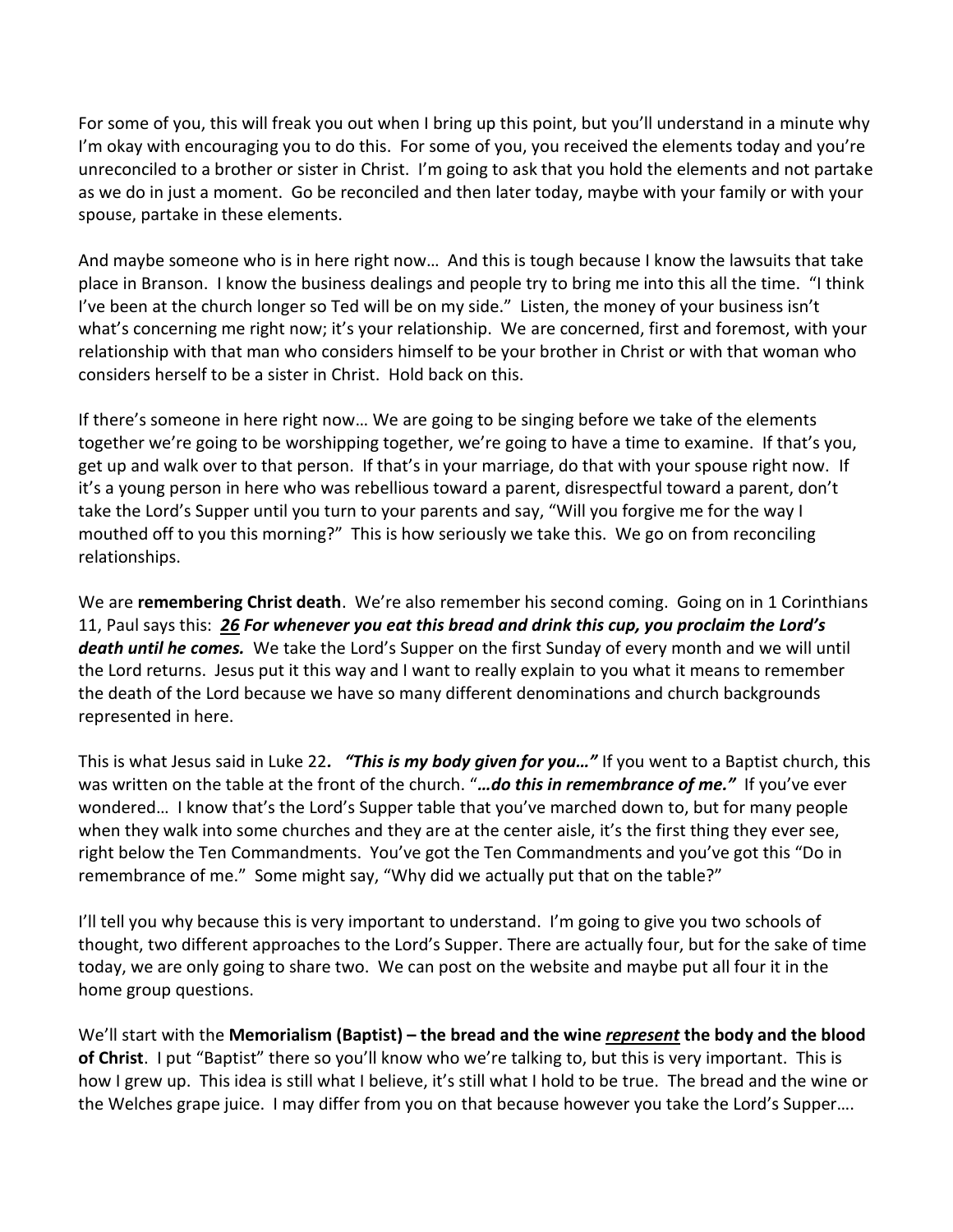For some of you, this will freak you out when I bring up this point, but you'll understand in a minute why I'm okay with encouraging you to do this. For some of you, you received the elements today and you're unreconciled to a brother or sister in Christ. I'm going to ask that you hold the elements and not partake as we do in just a moment. Go be reconciled and then later today, maybe with your family or with your spouse, partake in these elements.

And maybe someone who is in here right now… And this is tough because I know the lawsuits that take place in Branson. I know the business dealings and people try to bring me into this all the time. "I think I've been at the church longer so Ted will be on my side." Listen, the money of your business isn't what's concerning me right now; it's your relationship. We are concerned, first and foremost, with your relationship with that man who considers himself to be your brother in Christ or with that woman who considers herself to be a sister in Christ. Hold back on this.

If there's someone in here right now… We are going to be singing before we take of the elements together we're going to be worshipping together, we're going to have a time to examine. If that's you, get up and walk over to that person. If that's in your marriage, do that with your spouse right now. If it's a young person in here who was rebellious toward a parent, disrespectful toward a parent, don't take the Lord's Supper until you turn to your parents and say, "Will you forgive me for the way I mouthed off to you this morning?" This is how seriously we take this. We go on from reconciling relationships.

We are **remembering Christ death**. We're also remember his second coming. Going on in 1 Corinthians 11, Paul says this: *[26](http://www.studylight.org/desk/?q=1co%2011:26&t1=en_niv&sr=1) For whenever you eat this bread and drink this cup, you proclaim the Lord's death until he comes.* We take the Lord's Supper on the first Sunday of every month and we will until the Lord returns. Jesus put it this way and I want to really explain to you what it means to remember the death of the Lord because we have so many different denominations and church backgrounds represented in here.

This is what Jesus said in Luke 22*. "This is my body given for you…"* If you went to a Baptist church, this was written on the table at the front of the church. "*…do this in remembrance of me."* If you've ever wondered… I know that's the Lord's Supper table that you've marched down to, but for many people when they walk into some churches and they are at the center aisle, it's the first thing they ever see, right below the Ten Commandments. You've got the Ten Commandments and you've got this "Do in remembrance of me." Some might say, "Why did we actually put that on the table?"

I'll tell you why because this is very important to understand. I'm going to give you two schools of thought, two different approaches to the Lord's Supper. There are actually four, but for the sake of time today, we are only going to share two. We can post on the website and maybe put all four it in the home group questions.

We'll start with the **Memorialism (Baptist) – the bread and the wine** *represent* **the body and the blood of Christ**. I put "Baptist" there so you'll know who we're talking to, but this is very important. This is how I grew up. This idea is still what I believe, it's still what I hold to be true. The bread and the wine or the Welches grape juice. I may differ from you on that because however you take the Lord's Supper….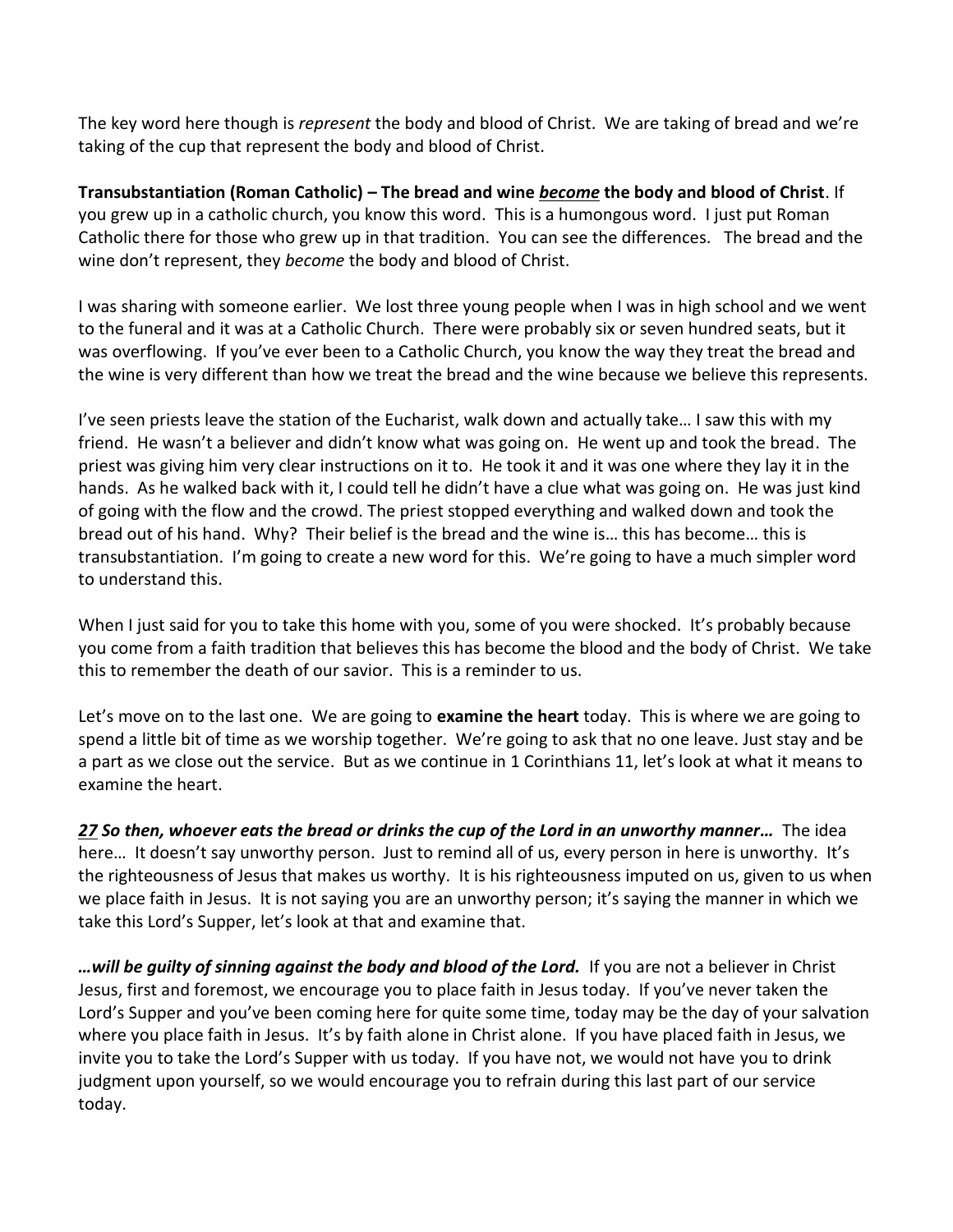The key word here though is *represent* the body and blood of Christ. We are taking of bread and we're taking of the cup that represent the body and blood of Christ.

**Transubstantiation (Roman Catholic) – The bread and wine** *become* **the body and blood of Christ**. If you grew up in a catholic church, you know this word. This is a humongous word. I just put Roman Catholic there for those who grew up in that tradition. You can see the differences. The bread and the wine don't represent, they *become* the body and blood of Christ.

I was sharing with someone earlier. We lost three young people when I was in high school and we went to the funeral and it was at a Catholic Church. There were probably six or seven hundred seats, but it was overflowing. If you've ever been to a Catholic Church, you know the way they treat the bread and the wine is very different than how we treat the bread and the wine because we believe this represents.

I've seen priests leave the station of the Eucharist, walk down and actually take… I saw this with my friend. He wasn't a believer and didn't know what was going on. He went up and took the bread. The priest was giving him very clear instructions on it to. He took it and it was one where they lay it in the hands. As he walked back with it, I could tell he didn't have a clue what was going on. He was just kind of going with the flow and the crowd. The priest stopped everything and walked down and took the bread out of his hand. Why? Their belief is the bread and the wine is… this has become… this is transubstantiation. I'm going to create a new word for this. We're going to have a much simpler word to understand this.

When I just said for you to take this home with you, some of you were shocked. It's probably because you come from a faith tradition that believes this has become the blood and the body of Christ. We take this to remember the death of our savior. This is a reminder to us.

Let's move on to the last one. We are going to **examine the heart** today. This is where we are going to spend a little bit of time as we worship together. We're going to ask that no one leave. Just stay and be a part as we close out the service. But as we continue in 1 Corinthians 11, let's look at what it means to examine the heart.

*[27](http://www.studylight.org/desk/?q=1co%2011:27&t1=en_niv&sr=1) So then, whoever eats the bread or drinks the cup of the Lord in an unworthy manner…* The idea here... It doesn't say unworthy person. Just to remind all of us, every person in here is unworthy. It's the righteousness of Jesus that makes us worthy. It is his righteousness imputed on us, given to us when we place faith in Jesus. It is not saying you are an unworthy person; it's saying the manner in which we take this Lord's Supper, let's look at that and examine that.

*…will be guilty of sinning against the body and blood of the Lord.* If you are not a believer in Christ Jesus, first and foremost, we encourage you to place faith in Jesus today. If you've never taken the Lord's Supper and you've been coming here for quite some time, today may be the day of your salvation where you place faith in Jesus. It's by faith alone in Christ alone. If you have placed faith in Jesus, we invite you to take the Lord's Supper with us today. If you have not, we would not have you to drink judgment upon yourself, so we would encourage you to refrain during this last part of our service today.